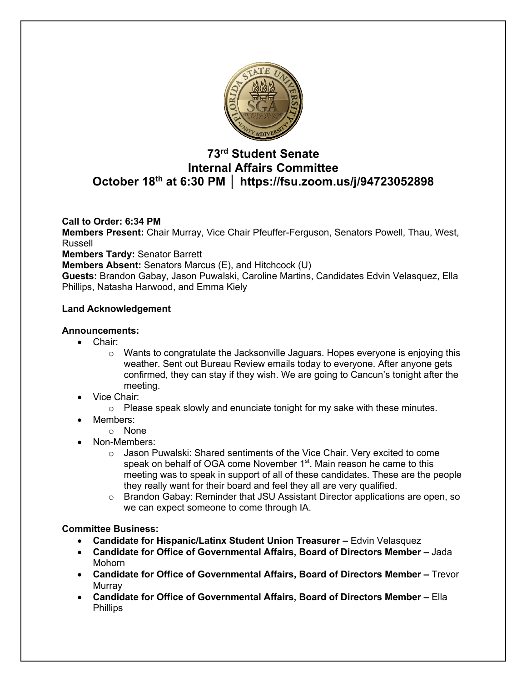

# **73rd Student Senate Internal Affairs Committee October 18th at 6:30 PM │ https://fsu.zoom.us/j/94723052898**

## **Call to Order: 6:34 PM**

**Members Present:** Chair Murray, Vice Chair Pfeuffer-Ferguson, Senators Powell, Thau, West, Russell

**Members Tardy:** Senator Barrett

**Members Absent:** Senators Marcus (E), and Hitchcock (U)

**Guests:** Brandon Gabay, Jason Puwalski, Caroline Martins, Candidates Edvin Velasquez, Ella Phillips, Natasha Harwood, and Emma Kiely

## **Land Acknowledgement**

## **Announcements:**

- Chair:
	- $\circ$  Wants to congratulate the Jacksonville Jaguars. Hopes everyone is enjoying this weather. Sent out Bureau Review emails today to everyone. After anyone gets confirmed, they can stay if they wish. We are going to Cancun's tonight after the meeting.
- Vice Chair:
	- $\circ$  Please speak slowly and enunciate tonight for my sake with these minutes.
- Members:
	- o None
- Non-Members:
	- $\circ$  Jason Puwalski: Shared sentiments of the Vice Chair. Very excited to come speak on behalf of OGA come November 1<sup>st</sup>. Main reason he came to this meeting was to speak in support of all of these candidates. These are the people they really want for their board and feel they all are very qualified.
	- o Brandon Gabay: Reminder that JSU Assistant Director applications are open, so we can expect someone to come through IA.

## **Committee Business:**

- **Candidate for Hispanic/Latinx Student Union Treasurer –** Edvin Velasquez
- **Candidate for Office of Governmental Affairs, Board of Directors Member –** Jada Mohorn
- **Candidate for Office of Governmental Affairs, Board of Directors Member –** Trevor Murray
- **Candidate for Office of Governmental Affairs, Board of Directors Member –** Ella Phillips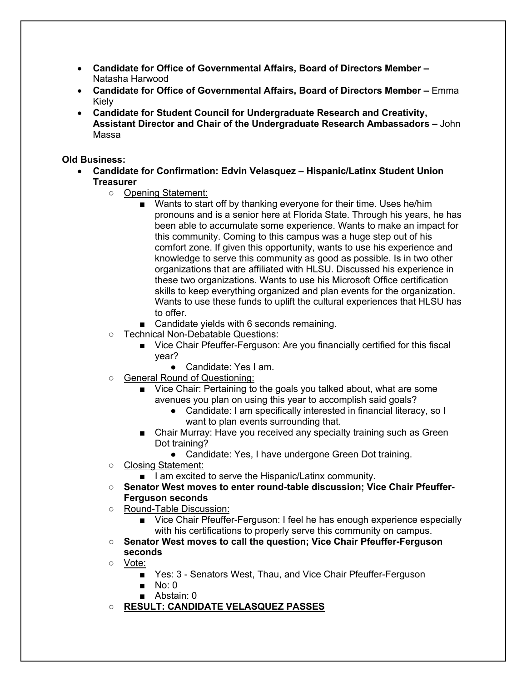- **Candidate for Office of Governmental Affairs, Board of Directors Member –** Natasha Harwood
- **Candidate for Office of Governmental Affairs, Board of Directors Member –** Emma Kiely
- **Candidate for Student Council for Undergraduate Research and Creativity, Assistant Director and Chair of the Undergraduate Research Ambassadors –** John Massa

## **Old Business:**

- **Candidate for Confirmation: Edvin Velasquez – Hispanic/Latinx Student Union Treasurer**
	- Opening Statement:
		- Wants to start off by thanking everyone for their time. Uses he/him pronouns and is a senior here at Florida State. Through his years, he has been able to accumulate some experience. Wants to make an impact for this community. Coming to this campus was a huge step out of his comfort zone. If given this opportunity, wants to use his experience and knowledge to serve this community as good as possible. Is in two other organizations that are affiliated with HLSU. Discussed his experience in these two organizations. Wants to use his Microsoft Office certification skills to keep everything organized and plan events for the organization. Wants to use these funds to uplift the cultural experiences that HLSU has to offer.
		- Candidate yields with 6 seconds remaining.
	- Technical Non-Debatable Questions:
		- Vice Chair Pfeuffer-Ferguson: Are you financially certified for this fiscal year?
			- Candidate: Yes I am
	- General Round of Questioning:
		- Vice Chair: Pertaining to the goals you talked about, what are some avenues you plan on using this year to accomplish said goals?
			- Candidate: I am specifically interested in financial literacy, so I want to plan events surrounding that.
		- Chair Murray: Have you received any specialty training such as Green Dot training?
			- Candidate: Yes, I have undergone Green Dot training.
	- Closing Statement:
		- I am excited to serve the Hispanic/Latinx community.
	- Senator West moves to enter round-table discussion; Vice Chair Pfeuffer-**Ferguson seconds**
	- Round-Table Discussion:
		- Vice Chair Pfeuffer-Ferguson: I feel he has enough experience especially with his certifications to properly serve this community on campus.
	- **Senator West moves to call the question; Vice Chair Pfeuffer-Ferguson seconds**
	- Vote:
		- Yes: 3 Senators West, Thau, and Vice Chair Pfeuffer-Ferguson
		- $\blacksquare$  No: 0
		- Abstain: 0
	- **RESULT: CANDIDATE VELASQUEZ PASSES**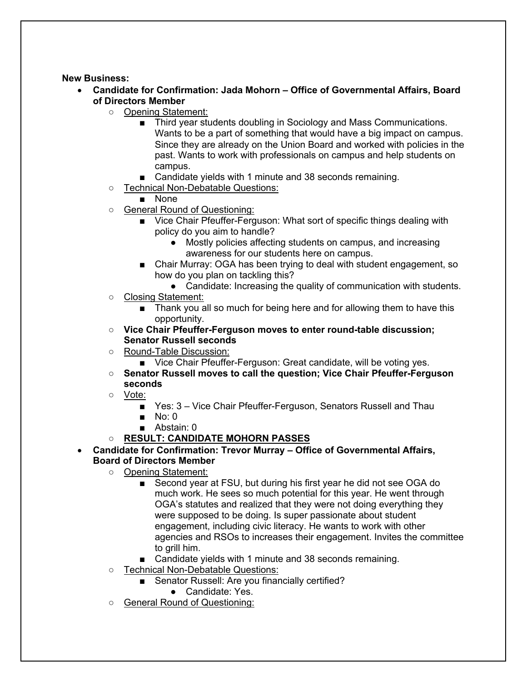## **New Business:**

- **Candidate for Confirmation: Jada Mohorn – Office of Governmental Affairs, Board of Directors Member**
	- Opening Statement:
		- Third year students doubling in Sociology and Mass Communications. Wants to be a part of something that would have a big impact on campus. Since they are already on the Union Board and worked with policies in the past. Wants to work with professionals on campus and help students on campus.
		- Candidate yields with 1 minute and 38 seconds remaining.
	- Technical Non-Debatable Questions:

■ None

- General Round of Questioning:
	- Vice Chair Pfeuffer-Ferguson: What sort of specific things dealing with policy do you aim to handle?
		- Mostly policies affecting students on campus, and increasing awareness for our students here on campus.
	- Chair Murray: OGA has been trying to deal with student engagement, so how do you plan on tackling this?
		- Candidate: Increasing the quality of communication with students.
- Closing Statement:
	- Thank you all so much for being here and for allowing them to have this opportunity.
- **Vice Chair Pfeuffer-Ferguson moves to enter round-table discussion; Senator Russell seconds**
- Round-Table Discussion:
	- Vice Chair Pfeuffer-Ferguson: Great candidate, will be voting yes.
- **Senator Russell moves to call the question; Vice Chair Pfeuffer-Ferguson seconds**
- Vote:
	- Yes: 3 Vice Chair Pfeuffer-Ferguson, Senators Russell and Thau
	- $\blacksquare$  No: 0
	- Abstain: 0

## ○ **RESULT: CANDIDATE MOHORN PASSES**

- **Candidate for Confirmation: Trevor Murray – Office of Governmental Affairs, Board of Directors Member**
	- Opening Statement:
		- Second year at FSU, but during his first year he did not see OGA do much work. He sees so much potential for this year. He went through OGA's statutes and realized that they were not doing everything they were supposed to be doing. Is super passionate about student engagement, including civic literacy. He wants to work with other agencies and RSOs to increases their engagement. Invites the committee to grill him.
		- Candidate yields with 1 minute and 38 seconds remaining.
	- Technical Non-Debatable Questions:
		- Senator Russell: Are you financially certified?
			- Candidate: Yes.
	- General Round of Questioning: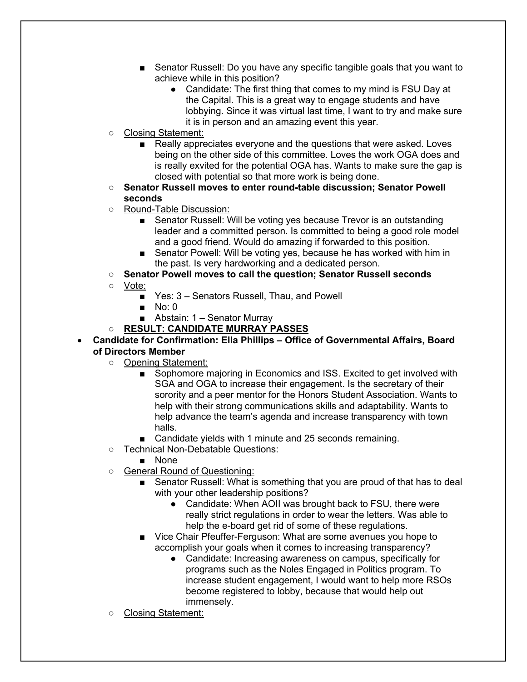- Senator Russell: Do you have any specific tangible goals that you want to achieve while in this position?
	- Candidate: The first thing that comes to my mind is FSU Day at the Capital. This is a great way to engage students and have lobbying. Since it was virtual last time, I want to try and make sure it is in person and an amazing event this year.
- Closing Statement:
	- Really appreciates everyone and the questions that were asked. Loves being on the other side of this committee. Loves the work OGA does and is really exvited for the potential OGA has. Wants to make sure the gap is closed with potential so that more work is being done.
- **Senator Russell moves to enter round-table discussion; Senator Powell seconds**
- Round-Table Discussion:
	- Senator Russell: Will be voting yes because Trevor is an outstanding leader and a committed person. Is committed to being a good role model and a good friend. Would do amazing if forwarded to this position.
	- Senator Powell: Will be voting yes, because he has worked with him in the past. Is very hardworking and a dedicated person.
- **Senator Powell moves to call the question; Senator Russell seconds**
- Vote:
	- Yes: 3 Senators Russell, Thau, and Powell
	- No: 0
	- Abstain: 1 Senator Murray
- **RESULT: CANDIDATE MURRAY PASSES**
- **Candidate for Confirmation: Ella Phillips – Office of Governmental Affairs, Board of Directors Member**
	- Opening Statement:
		- Sophomore majoring in Economics and ISS. Excited to get involved with SGA and OGA to increase their engagement. Is the secretary of their sorority and a peer mentor for the Honors Student Association. Wants to help with their strong communications skills and adaptability. Wants to help advance the team's agenda and increase transparency with town halls.
		- Candidate yields with 1 minute and 25 seconds remaining.
	- Technical Non-Debatable Questions:
		- None
	- General Round of Questioning:
		- Senator Russell: What is something that you are proud of that has to deal with your other leadership positions?
			- Candidate: When AOII was brought back to FSU, there were really strict regulations in order to wear the letters. Was able to help the e-board get rid of some of these regulations.
		- Vice Chair Pfeuffer-Ferguson: What are some avenues you hope to accomplish your goals when it comes to increasing transparency?
			- Candidate: Increasing awareness on campus, specifically for programs such as the Noles Engaged in Politics program. To increase student engagement, I would want to help more RSOs become registered to lobby, because that would help out immensely.
	- Closing Statement: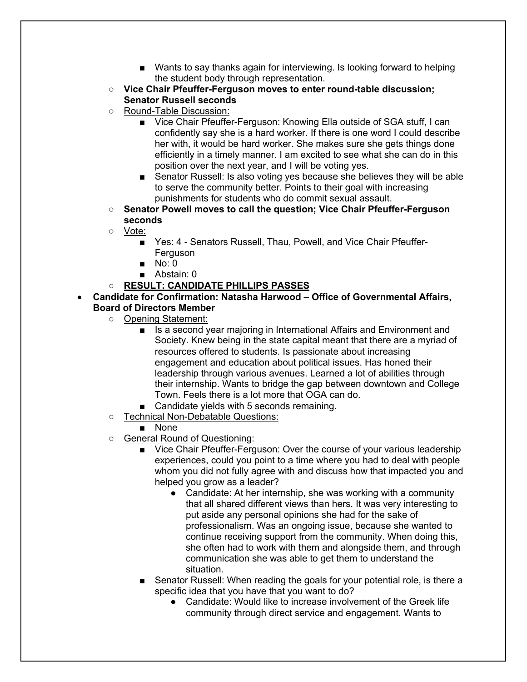- Wants to say thanks again for interviewing. Is looking forward to helping the student body through representation.
- **Vice Chair Pfeuffer-Ferguson moves to enter round-table discussion; Senator Russell seconds**
- Round-Table Discussion:
	- Vice Chair Pfeuffer-Ferguson: Knowing Ella outside of SGA stuff, I can confidently say she is a hard worker. If there is one word I could describe her with, it would be hard worker. She makes sure she gets things done efficiently in a timely manner. I am excited to see what she can do in this position over the next year, and I will be voting yes.
	- Senator Russell: Is also voting yes because she believes they will be able to serve the community better. Points to their goal with increasing punishments for students who do commit sexual assault.
- **Senator Powell moves to call the question; Vice Chair Pfeuffer-Ferguson seconds**
- Vote:
	- Yes: 4 Senators Russell, Thau, Powell, and Vice Chair Pfeuffer-Ferguson
	- No: 0
	- Abstain: 0
- **RESULT: CANDIDATE PHILLIPS PASSES**
- **Candidate for Confirmation: Natasha Harwood – Office of Governmental Affairs, Board of Directors Member**
	- Opening Statement:
		- Is a second year majoring in International Affairs and Environment and Society. Knew being in the state capital meant that there are a myriad of resources offered to students. Is passionate about increasing engagement and education about political issues. Has honed their leadership through various avenues. Learned a lot of abilities through their internship. Wants to bridge the gap between downtown and College Town. Feels there is a lot more that OGA can do.
		- Candidate yields with 5 seconds remaining.
	- Technical Non-Debatable Questions:
		- None
	- General Round of Questioning:
		- Vice Chair Pfeuffer-Ferguson: Over the course of your various leadership experiences, could you point to a time where you had to deal with people whom you did not fully agree with and discuss how that impacted you and helped you grow as a leader?
			- Candidate: At her internship, she was working with a community that all shared different views than hers. It was very interesting to put aside any personal opinions she had for the sake of professionalism. Was an ongoing issue, because she wanted to continue receiving support from the community. When doing this, she often had to work with them and alongside them, and through communication she was able to get them to understand the situation.
		- Senator Russell: When reading the goals for your potential role, is there a specific idea that you have that you want to do?
			- Candidate: Would like to increase involvement of the Greek life community through direct service and engagement. Wants to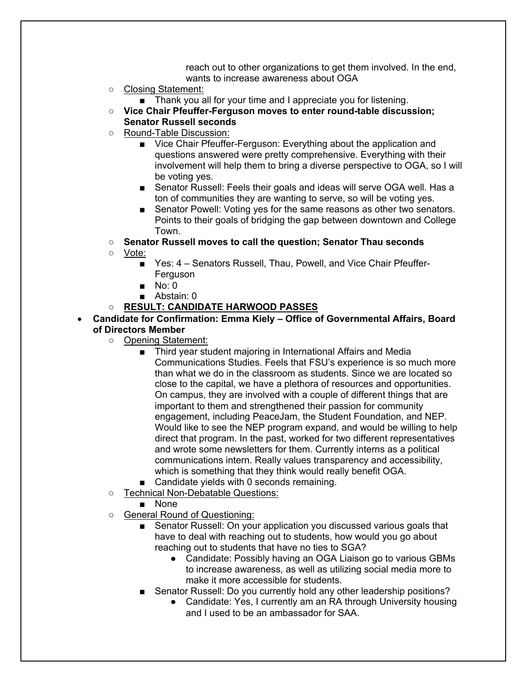reach out to other organizations to get them involved. In the end, wants to increase awareness about OGA

- Closing Statement:
	- Thank you all for your time and I appreciate you for listening.
- **Vice Chair Pfeuffer-Ferguson moves to enter round-table discussion; Senator Russell seconds**
- Round-Table Discussion:
	- Vice Chair Pfeuffer-Ferguson: Everything about the application and questions answered were pretty comprehensive. Everything with their involvement will help them to bring a diverse perspective to OGA, so I will be voting yes.
	- Senator Russell: Feels their goals and ideas will serve OGA well. Has a ton of communities they are wanting to serve, so will be voting yes.
	- Senator Powell: Voting yes for the same reasons as other two senators. Points to their goals of bridging the gap between downtown and College Town.
- **Senator Russell moves to call the question; Senator Thau seconds**
- Vote:
	- Yes: 4 Senators Russell, Thau, Powell, and Vice Chair Pfeuffer-Ferguson
	- No: 0
	- Abstain: 0
- **RESULT: CANDIDATE HARWOOD PASSES**
- **Candidate for Confirmation: Emma Kiely – Office of Governmental Affairs, Board of Directors Member**
	- Opening Statement:
		- Third year student majoring in International Affairs and Media Communications Studies. Feels that FSU's experience is so much more than what we do in the classroom as students. Since we are located so close to the capital, we have a plethora of resources and opportunities. On campus, they are involved with a couple of different things that are important to them and strengthened their passion for community engagement, including PeaceJam, the Student Foundation, and NEP. Would like to see the NEP program expand, and would be willing to help direct that program. In the past, worked for two different representatives and wrote some newsletters for them. Currently interns as a political communications intern. Really values transparency and accessibility, which is something that they think would really benefit OGA.
		- Candidate yields with 0 seconds remaining.
	- Technical Non-Debatable Questions:
		- None
	- General Round of Questioning:
		- Senator Russell: On your application you discussed various goals that have to deal with reaching out to students, how would you go about reaching out to students that have no ties to SGA?
			- Candidate: Possibly having an OGA Liaison go to various GBMs to increase awareness, as well as utilizing social media more to make it more accessible for students.
		- Senator Russell: Do you currently hold any other leadership positions?
			- Candidate: Yes, I currently am an RA through University housing and I used to be an ambassador for SAA.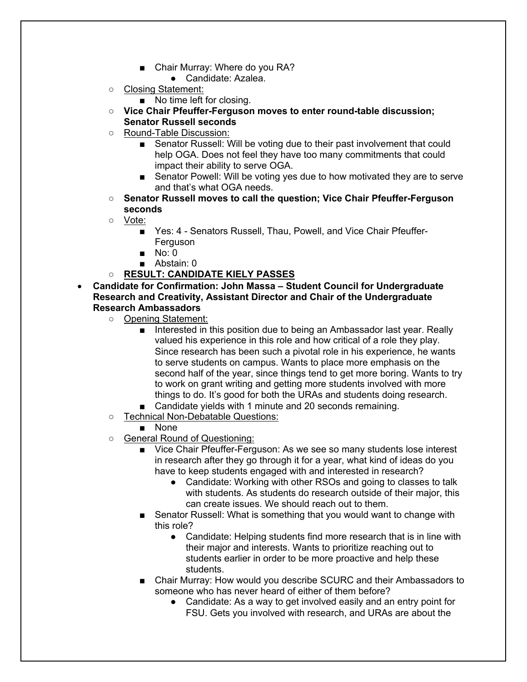- Chair Murray: Where do you RA?
	- Candidate: Azalea.
- Closing Statement:
	- No time left for closing.
- **Vice Chair Pfeuffer-Ferguson moves to enter round-table discussion; Senator Russell seconds**
- Round-Table Discussion:
	- Senator Russell: Will be voting due to their past involvement that could help OGA. Does not feel they have too many commitments that could impact their ability to serve OGA.
	- Senator Powell: Will be voting yes due to how motivated they are to serve and that's what OGA needs.
- **Senator Russell moves to call the question; Vice Chair Pfeuffer-Ferguson seconds**
- Vote:
	- Yes: 4 Senators Russell, Thau, Powell, and Vice Chair Pfeuffer-Ferguson
	- No: 0
	- Abstain: 0
- **RESULT: CANDIDATE KIELY PASSES**
- **Candidate for Confirmation: John Massa – Student Council for Undergraduate Research and Creativity, Assistant Director and Chair of the Undergraduate Research Ambassadors**
	- Opening Statement:
		- Interested in this position due to being an Ambassador last year. Really valued his experience in this role and how critical of a role they play. Since research has been such a pivotal role in his experience, he wants to serve students on campus. Wants to place more emphasis on the second half of the year, since things tend to get more boring. Wants to try to work on grant writing and getting more students involved with more things to do. It's good for both the URAs and students doing research.
		- Candidate yields with 1 minute and 20 seconds remaining.
	- Technical Non-Debatable Questions:
		- None
	- General Round of Questioning:
		- Vice Chair Pfeuffer-Ferguson: As we see so many students lose interest in research after they go through it for a year, what kind of ideas do you have to keep students engaged with and interested in research?
			- Candidate: Working with other RSOs and going to classes to talk with students. As students do research outside of their major, this can create issues. We should reach out to them.
		- Senator Russell: What is something that you would want to change with this role?
			- Candidate: Helping students find more research that is in line with their major and interests. Wants to prioritize reaching out to students earlier in order to be more proactive and help these students.
		- Chair Murray: How would you describe SCURC and their Ambassadors to someone who has never heard of either of them before?
			- Candidate: As a way to get involved easily and an entry point for FSU. Gets you involved with research, and URAs are about the